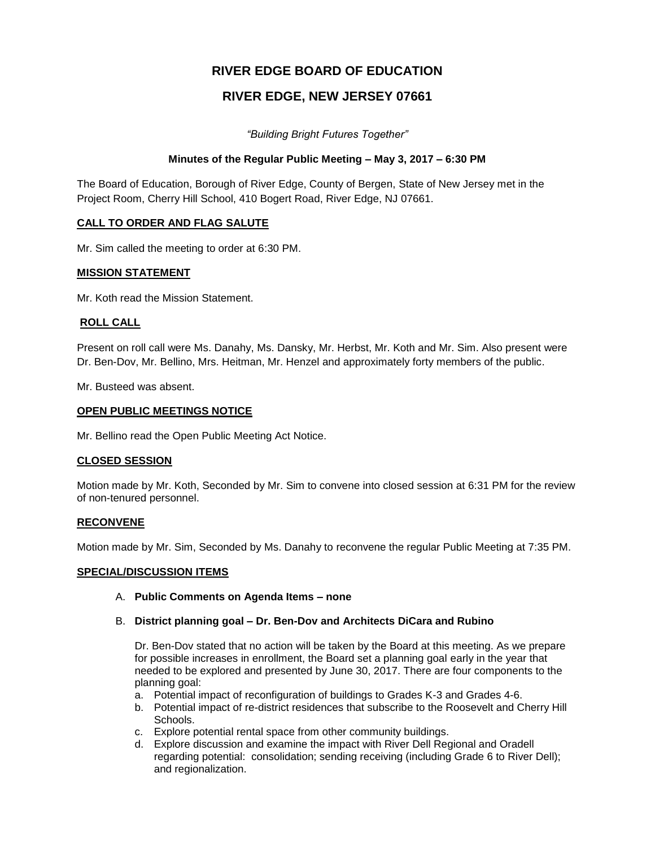# **RIVER EDGE BOARD OF EDUCATION**

# **RIVER EDGE, NEW JERSEY 07661**

*"Building Bright Futures Together"*

### **Minutes of the Regular Public Meeting – May 3, 2017 – 6:30 PM**

The Board of Education, Borough of River Edge, County of Bergen, State of New Jersey met in the Project Room, Cherry Hill School, 410 Bogert Road, River Edge, NJ 07661.

### **CALL TO ORDER AND FLAG SALUTE**

Mr. Sim called the meeting to order at 6:30 PM.

### **MISSION STATEMENT**

Mr. Koth read the Mission Statement.

### **ROLL CALL**

Present on roll call were Ms. Danahy, Ms. Dansky, Mr. Herbst, Mr. Koth and Mr. Sim. Also present were Dr. Ben-Dov, Mr. Bellino, Mrs. Heitman, Mr. Henzel and approximately forty members of the public.

Mr. Busteed was absent.

### **OPEN PUBLIC MEETINGS NOTICE**

Mr. Bellino read the Open Public Meeting Act Notice.

### **CLOSED SESSION**

Motion made by Mr. Koth, Seconded by Mr. Sim to convene into closed session at 6:31 PM for the review of non-tenured personnel.

### **RECONVENE**

Motion made by Mr. Sim, Seconded by Ms. Danahy to reconvene the regular Public Meeting at 7:35 PM.

### **SPECIAL/DISCUSSION ITEMS**

### A. **Public Comments on Agenda Items – none**

### B. **District planning goal – Dr. Ben-Dov and Architects DiCara and Rubino**

Dr. Ben-Dov stated that no action will be taken by the Board at this meeting. As we prepare for possible increases in enrollment, the Board set a planning goal early in the year that needed to be explored and presented by June 30, 2017. There are four components to the planning goal:

- a. Potential impact of reconfiguration of buildings to Grades K-3 and Grades 4-6.
- b. Potential impact of re-district residences that subscribe to the Roosevelt and Cherry Hill Schools.
- c. Explore potential rental space from other community buildings.
- d. Explore discussion and examine the impact with River Dell Regional and Oradell regarding potential: consolidation; sending receiving (including Grade 6 to River Dell); and regionalization.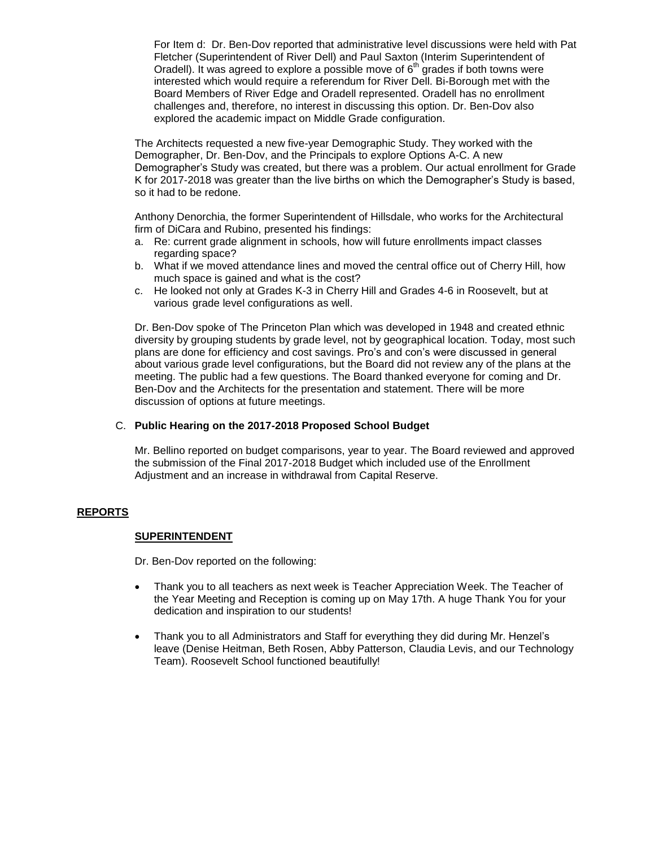For Item d: Dr. Ben-Dov reported that administrative level discussions were held with Pat Fletcher (Superintendent of River Dell) and Paul Saxton (Interim Superintendent of Oradell). It was agreed to explore a possible move of  $6<sup>th</sup>$  grades if both towns were interested which would require a referendum for River Dell. Bi-Borough met with the Board Members of River Edge and Oradell represented. Oradell has no enrollment challenges and, therefore, no interest in discussing this option. Dr. Ben-Dov also explored the academic impact on Middle Grade configuration.

The Architects requested a new five-year Demographic Study. They worked with the Demographer, Dr. Ben-Dov, and the Principals to explore Options A-C. A new Demographer's Study was created, but there was a problem. Our actual enrollment for Grade K for 2017-2018 was greater than the live births on which the Demographer's Study is based, so it had to be redone.

Anthony Denorchia, the former Superintendent of Hillsdale, who works for the Architectural firm of DiCara and Rubino, presented his findings:

- a. Re: current grade alignment in schools, how will future enrollments impact classes regarding space?
- b. What if we moved attendance lines and moved the central office out of Cherry Hill, how much space is gained and what is the cost?
- c. He looked not only at Grades K-3 in Cherry Hill and Grades 4-6 in Roosevelt, but at various grade level configurations as well.

Dr. Ben-Dov spoke of The Princeton Plan which was developed in 1948 and created ethnic diversity by grouping students by grade level, not by geographical location. Today, most such plans are done for efficiency and cost savings. Pro's and con's were discussed in general about various grade level configurations, but the Board did not review any of the plans at the meeting. The public had a few questions. The Board thanked everyone for coming and Dr. Ben-Dov and the Architects for the presentation and statement. There will be more discussion of options at future meetings.

### C. **Public Hearing on the 2017-2018 Proposed School Budget**

Mr. Bellino reported on budget comparisons, year to year. The Board reviewed and approved the submission of the Final 2017-2018 Budget which included use of the Enrollment Adjustment and an increase in withdrawal from Capital Reserve.

### **REPORTS**

#### **SUPERINTENDENT**

Dr. Ben-Dov reported on the following:

- Thank you to all teachers as next week is Teacher Appreciation Week. The Teacher of the Year Meeting and Reception is coming up on May 17th. A huge Thank You for your dedication and inspiration to our students!
- Thank you to all Administrators and Staff for everything they did during Mr. Henzel's leave (Denise Heitman, Beth Rosen, Abby Patterson, Claudia Levis, and our Technology Team). Roosevelt School functioned beautifully!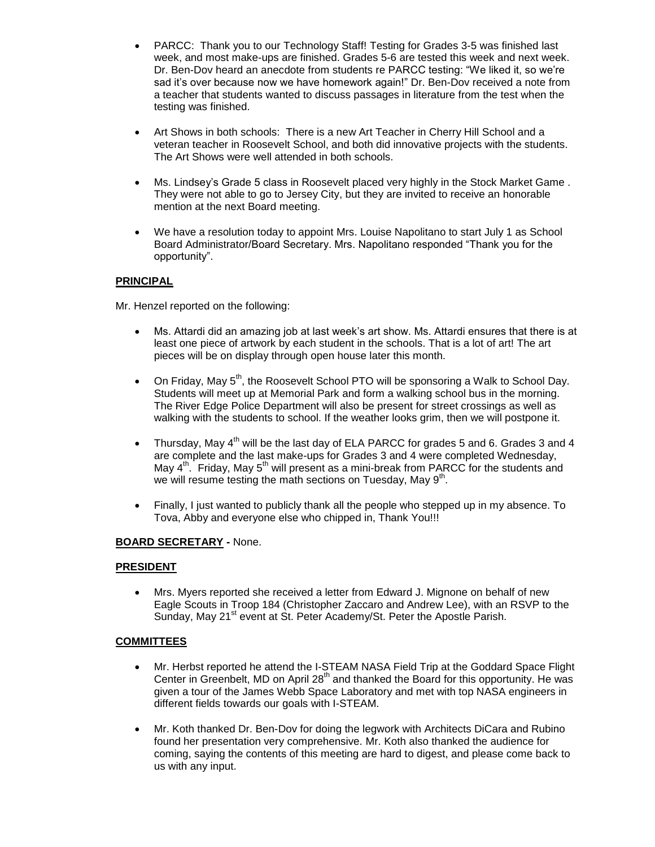- PARCC: Thank you to our Technology Staff! Testing for Grades 3-5 was finished last week, and most make-ups are finished. Grades 5-6 are tested this week and next week. Dr. Ben-Dov heard an anecdote from students re PARCC testing: "We liked it, so we're sad it's over because now we have homework again!" Dr. Ben-Dov received a note from a teacher that students wanted to discuss passages in literature from the test when the testing was finished.
- Art Shows in both schools: There is a new Art Teacher in Cherry Hill School and a veteran teacher in Roosevelt School, and both did innovative projects with the students. The Art Shows were well attended in both schools.
- Ms. Lindsey's Grade 5 class in Roosevelt placed very highly in the Stock Market Game . They were not able to go to Jersey City, but they are invited to receive an honorable mention at the next Board meeting.
- We have a resolution today to appoint Mrs. Louise Napolitano to start July 1 as School Board Administrator/Board Secretary. Mrs. Napolitano responded "Thank you for the opportunity".

### **PRINCIPAL**

Mr. Henzel reported on the following:

- Ms. Attardi did an amazing job at last week's art show. Ms. Attardi ensures that there is at least one piece of artwork by each student in the schools. That is a lot of art! The art pieces will be on display through open house later this month.
- On Friday, May  $5<sup>th</sup>$ , the Roosevelt School PTO will be sponsoring a Walk to School Day. Students will meet up at Memorial Park and form a walking school bus in the morning. The River Edge Police Department will also be present for street crossings as well as walking with the students to school. If the weather looks grim, then we will postpone it.
- Thursday, May  $4<sup>th</sup>$  will be the last day of ELA PARCC for grades 5 and 6. Grades 3 and 4 are complete and the last make-ups for Grades 3 and 4 were completed Wednesday, May  $4^{\text{th}}$ . Friday, May 5<sup>th</sup> will present as a mini-break from PARCC for the students and we will resume testing the math sections on Tuesday, May 9<sup>th</sup>.
- Finally, I just wanted to publicly thank all the people who stepped up in my absence. To Tova, Abby and everyone else who chipped in, Thank You!!!

### **BOARD SECRETARY -** None.

### **PRESIDENT**

 Mrs. Myers reported she received a letter from Edward J. Mignone on behalf of new Eagle Scouts in Troop 184 (Christopher Zaccaro and Andrew Lee), with an RSVP to the Sunday, May 21<sup>st</sup> event at St. Peter Academy/St. Peter the Apostle Parish.

### **COMMITTEES**

- Mr. Herbst reported he attend the I-STEAM NASA Field Trip at the Goddard Space Flight Center in Greenbelt, MD on April 28<sup>th</sup> and thanked the Board for this opportunity. He was given a tour of the James Webb Space Laboratory and met with top NASA engineers in different fields towards our goals with I-STEAM.
- Mr. Koth thanked Dr. Ben-Dov for doing the legwork with Architects DiCara and Rubino found her presentation very comprehensive. Mr. Koth also thanked the audience for coming, saying the contents of this meeting are hard to digest, and please come back to us with any input.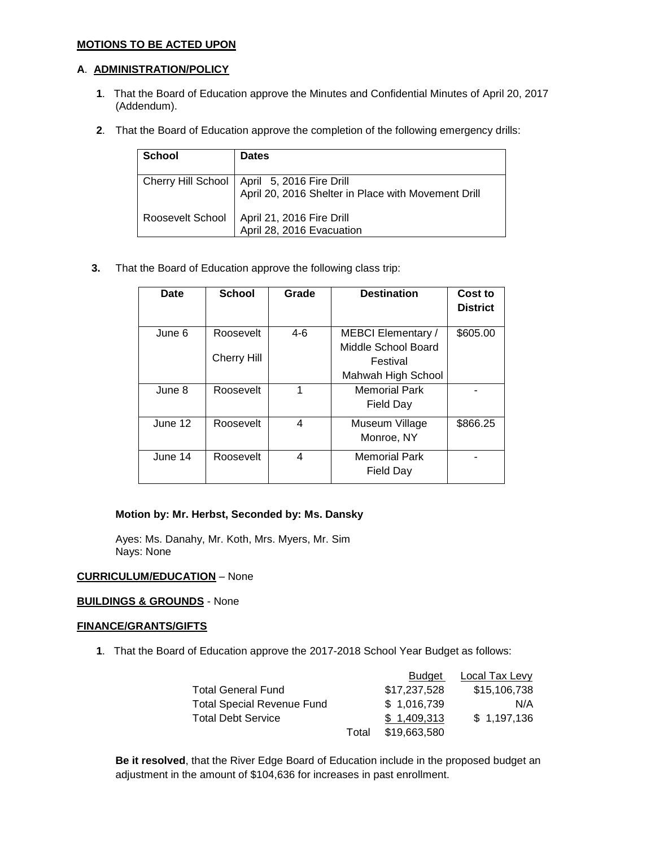### **MOTIONS TO BE ACTED UPON**

### **A**. **ADMINISTRATION/POLICY**

- **1**. That the Board of Education approve the Minutes and Confidential Minutes of April 20, 2017 (Addendum).
- **2**. That the Board of Education approve the completion of the following emergency drills:

| <b>School</b>    | <b>Dates</b>                                                                                         |
|------------------|------------------------------------------------------------------------------------------------------|
|                  | Cherry Hill School   April 5, 2016 Fire Drill<br>April 20, 2016 Shelter in Place with Movement Drill |
| Roosevelt School | April 21, 2016 Fire Drill<br>April 28, 2016 Evacuation                                               |

**3.** That the Board of Education approve the following class trip:

| Date    | <b>School</b>                   | Grade | <b>Destination</b>                                                                 | Cost to<br><b>District</b> |
|---------|---------------------------------|-------|------------------------------------------------------------------------------------|----------------------------|
| June 6  | Roosevelt<br><b>Cherry Hill</b> | 4-6   | <b>MEBCI Elementary /</b><br>Middle School Board<br>Festival<br>Mahwah High School | \$605.00                   |
| June 8  | Roosevelt                       | 1     | <b>Memorial Park</b><br>Field Day                                                  |                            |
| June 12 | Roosevelt                       | 4     | Museum Village<br>Monroe, NY                                                       | \$866.25                   |
| June 14 | Roosevelt                       | 4     | <b>Memorial Park</b><br>Field Day                                                  |                            |

### **Motion by: Mr. Herbst, Seconded by: Ms. Dansky**

Ayes: Ms. Danahy, Mr. Koth, Mrs. Myers, Mr. Sim Nays: None

### **CURRICULUM/EDUCATION** – None

### **BUILDINGS & GROUNDS** - None

### **FINANCE/GRANTS/GIFTS**

**1**. That the Board of Education approve the 2017-2018 School Year Budget as follows:

|       | <b>Budget</b> | Local Tax Levy |
|-------|---------------|----------------|
|       | \$17,237,528  | \$15,106,738   |
|       | \$1,016,739   | N/A            |
|       | \$1,409,313   | \$1,197,136    |
| Total | \$19,663,580  |                |
|       |               |                |

**Be it resolved**, that the River Edge Board of Education include in the proposed budget an adjustment in the amount of \$104,636 for increases in past enrollment.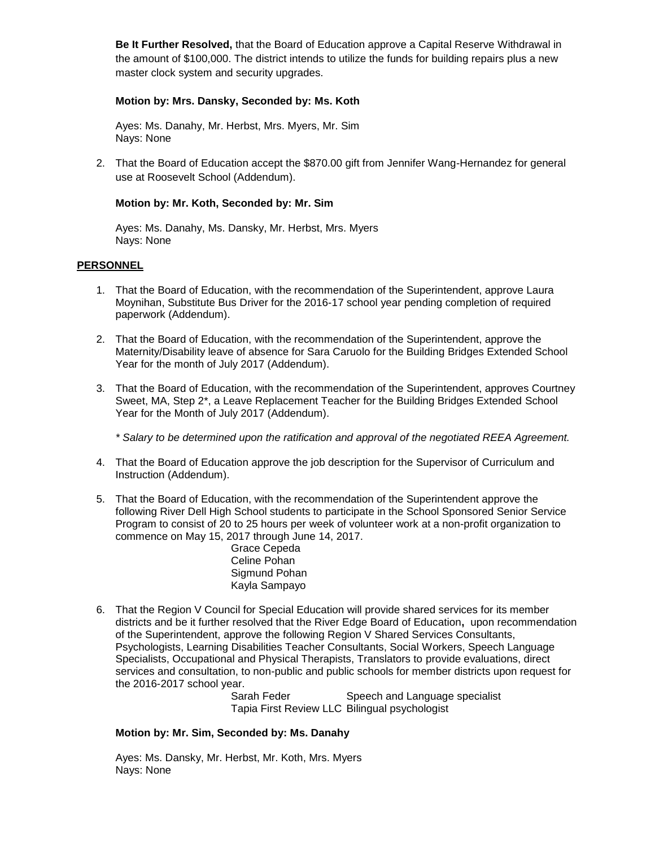**Be It Further Resolved,** that the Board of Education approve a Capital Reserve Withdrawal in the amount of \$100,000. The district intends to utilize the funds for building repairs plus a new master clock system and security upgrades.

### **Motion by: Mrs. Dansky, Seconded by: Ms. Koth**

Ayes: Ms. Danahy, Mr. Herbst, Mrs. Myers, Mr. Sim Nays: None

2. That the Board of Education accept the \$870.00 gift from Jennifer Wang-Hernandez for general use at Roosevelt School (Addendum).

### **Motion by: Mr. Koth, Seconded by: Mr. Sim**

Ayes: Ms. Danahy, Ms. Dansky, Mr. Herbst, Mrs. Myers Nays: None

### **PERSONNEL**

- 1. That the Board of Education, with the recommendation of the Superintendent, approve Laura Moynihan, Substitute Bus Driver for the 2016-17 school year pending completion of required paperwork (Addendum).
- 2. That the Board of Education, with the recommendation of the Superintendent, approve the Maternity/Disability leave of absence for Sara Caruolo for the Building Bridges Extended School Year for the month of July 2017 (Addendum).
- 3. That the Board of Education, with the recommendation of the Superintendent, approves Courtney Sweet, MA, Step 2\*, a Leave Replacement Teacher for the Building Bridges Extended School Year for the Month of July 2017 (Addendum).

*\* Salary to be determined upon the ratification and approval of the negotiated REEA Agreement.*

- 4. That the Board of Education approve the job description for the Supervisor of Curriculum and Instruction (Addendum).
- 5. That the Board of Education, with the recommendation of the Superintendent approve the following River Dell High School students to participate in the School Sponsored Senior Service Program to consist of 20 to 25 hours per week of volunteer work at a non-profit organization to commence on May 15, 2017 through June 14, 2017.

Grace Cepeda Celine Pohan Sigmund Pohan Kayla Sampayo

6. That the Region V Council for Special Education will provide shared services for its member districts and be it further resolved that the River Edge Board of Education**,** upon recommendation of the Superintendent, approve the following Region V Shared Services Consultants, Psychologists, Learning Disabilities Teacher Consultants, Social Workers, Speech Language Specialists, Occupational and Physical Therapists, Translators to provide evaluations, direct services and consultation, to non-public and public schools for member districts upon request for the 2016-2017 school year.

Sarah Feder Speech and Language specialist Tapia First Review LLC Bilingual psychologist

### **Motion by: Mr. Sim, Seconded by: Ms. Danahy**

Ayes: Ms. Dansky, Mr. Herbst, Mr. Koth, Mrs. Myers Nays: None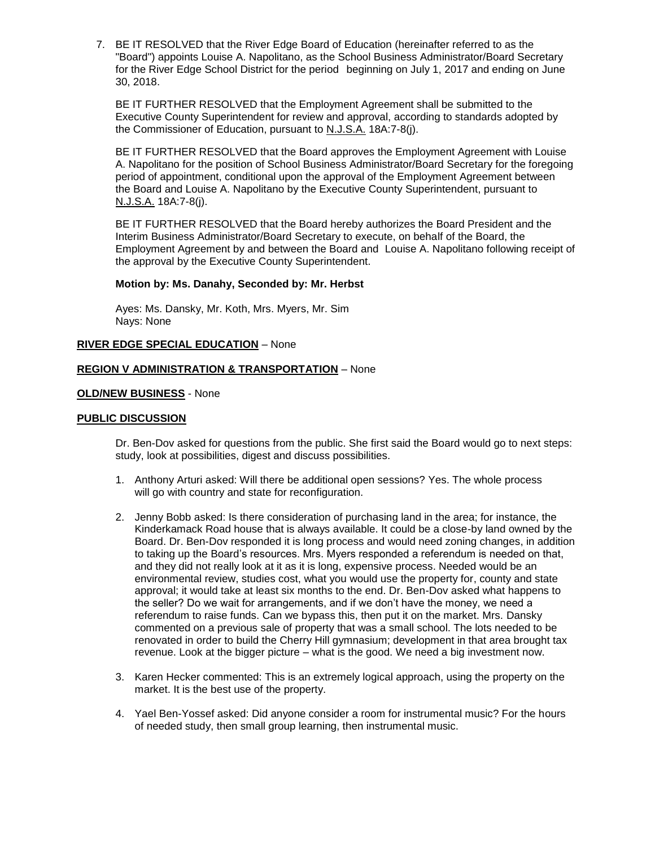7. BE IT RESOLVED that the River Edge Board of Education (hereinafter referred to as the "Board") appoints Louise A. Napolitano, as the School Business Administrator/Board Secretary for the River Edge School District for the period beginning on July 1, 2017 and ending on June 30, 2018.

BE IT FURTHER RESOLVED that the Employment Agreement shall be submitted to the Executive County Superintendent for review and approval, according to standards adopted by the Commissioner of Education, pursuant to N.J.S.A. 18A:7-8(j).

BE IT FURTHER RESOLVED that the Board approves the Employment Agreement with Louise A. Napolitano for the position of School Business Administrator/Board Secretary for the foregoing period of appointment, conditional upon the approval of the Employment Agreement between the Board and Louise A. Napolitano by the Executive County Superintendent, pursuant to N.J.S.A. 18A:7-8(j).

BE IT FURTHER RESOLVED that the Board hereby authorizes the Board President and the Interim Business Administrator/Board Secretary to execute, on behalf of the Board, the Employment Agreement by and between the Board and Louise A. Napolitano following receipt of the approval by the Executive County Superintendent.

### **Motion by: Ms. Danahy, Seconded by: Mr. Herbst**

Ayes: Ms. Dansky, Mr. Koth, Mrs. Myers, Mr. Sim Nays: None

#### **RIVER EDGE SPECIAL EDUCATION** – None

#### **REGION V ADMINISTRATION & TRANSPORTATION** – None

#### **OLD/NEW BUSINESS** - None

#### **PUBLIC DISCUSSION**

Dr. Ben-Dov asked for questions from the public. She first said the Board would go to next steps: study, look at possibilities, digest and discuss possibilities.

- 1. Anthony Arturi asked: Will there be additional open sessions? Yes. The whole process will go with country and state for reconfiguration.
- 2. Jenny Bobb asked: Is there consideration of purchasing land in the area; for instance, the Kinderkamack Road house that is always available. It could be a close-by land owned by the Board. Dr. Ben-Dov responded it is long process and would need zoning changes, in addition to taking up the Board's resources. Mrs. Myers responded a referendum is needed on that, and they did not really look at it as it is long, expensive process. Needed would be an environmental review, studies cost, what you would use the property for, county and state approval; it would take at least six months to the end. Dr. Ben-Dov asked what happens to the seller? Do we wait for arrangements, and if we don't have the money, we need a referendum to raise funds. Can we bypass this, then put it on the market. Mrs. Dansky commented on a previous sale of property that was a small school. The lots needed to be renovated in order to build the Cherry Hill gymnasium; development in that area brought tax revenue. Look at the bigger picture – what is the good. We need a big investment now.
- 3. Karen Hecker commented: This is an extremely logical approach, using the property on the market. It is the best use of the property.
- 4. Yael Ben-Yossef asked: Did anyone consider a room for instrumental music? For the hours of needed study, then small group learning, then instrumental music.